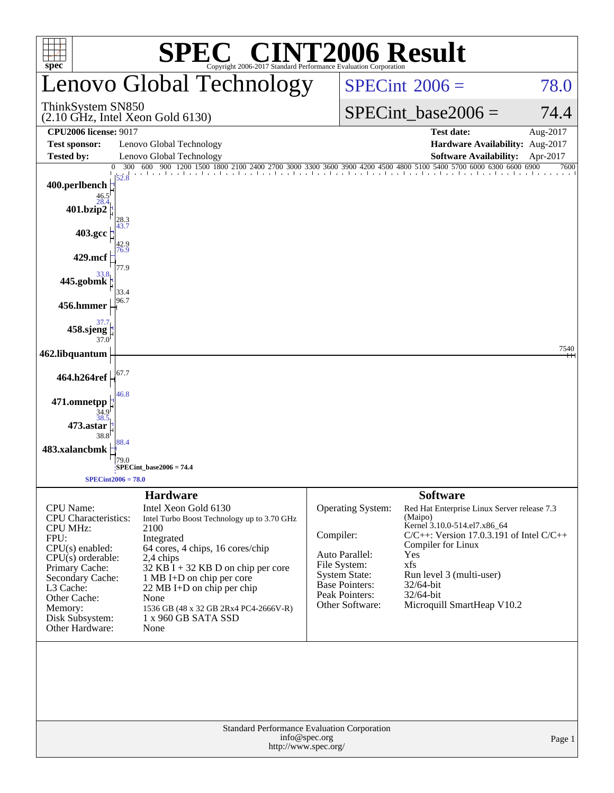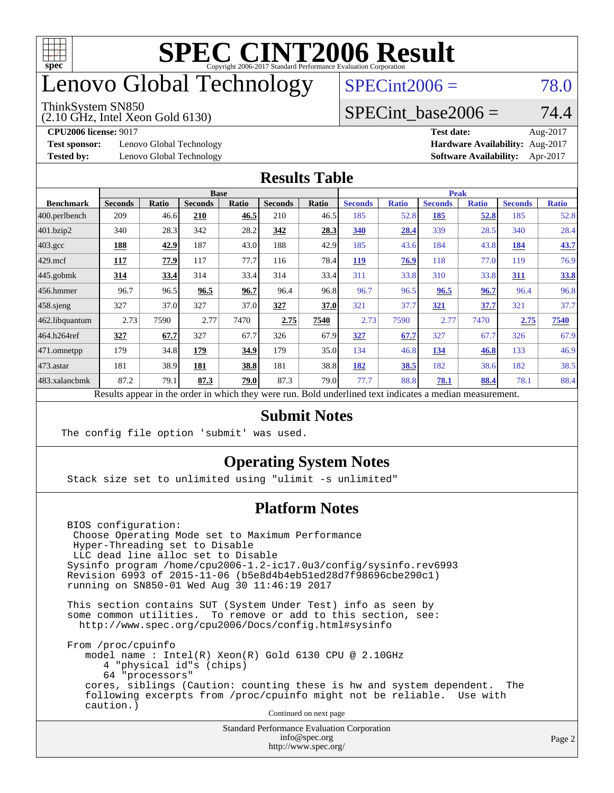

## enovo Global Technology

#### ThinkSystem SN850

(2.10 GHz, Intel Xeon Gold 6130)

 $SPECint2006 = 78.0$  $SPECint2006 = 78.0$ 

#### SPECint base2006 =  $74.4$

**[Test sponsor:](http://www.spec.org/auto/cpu2006/Docs/result-fields.html#Testsponsor)** Lenovo Global Technology **[Hardware Availability:](http://www.spec.org/auto/cpu2006/Docs/result-fields.html#HardwareAvailability)** Aug-2017

**[CPU2006 license:](http://www.spec.org/auto/cpu2006/Docs/result-fields.html#CPU2006license)** 9017 **[Test date:](http://www.spec.org/auto/cpu2006/Docs/result-fields.html#Testdate)** Aug-2017 **[Tested by:](http://www.spec.org/auto/cpu2006/Docs/result-fields.html#Testedby)** Lenovo Global Technology **[Software Availability:](http://www.spec.org/auto/cpu2006/Docs/result-fields.html#SoftwareAvailability)** Apr-2017

#### **[Results Table](http://www.spec.org/auto/cpu2006/Docs/result-fields.html#ResultsTable)**

|                   | <b>Base</b>                                                                                              |              |                |              |                | <b>Peak</b> |                |              |                |              |                |              |
|-------------------|----------------------------------------------------------------------------------------------------------|--------------|----------------|--------------|----------------|-------------|----------------|--------------|----------------|--------------|----------------|--------------|
| <b>Benchmark</b>  | <b>Seconds</b>                                                                                           | <b>Ratio</b> | <b>Seconds</b> | <b>Ratio</b> | <b>Seconds</b> | Ratio       | <b>Seconds</b> | <b>Ratio</b> | <b>Seconds</b> | <b>Ratio</b> | <b>Seconds</b> | <b>Ratio</b> |
| $ 400$ .perlbench | 209                                                                                                      | 46.6         | 210            | 46.5         | 210            | 46.5        | 185            | 52.8         | 185            | 52.8         | 185            | 52.8         |
| $401$ .bzip2      | 340                                                                                                      | 28.3         | 342            | 28.2         | 342            | 28.3        | 340            | 28.4         | 339            | 28.5         | 340            | 28.4         |
| $403.\text{gcc}$  | 188                                                                                                      | 42.9         | 187            | 43.0         | 188            | 42.9        | 185            | 43.6         | 184            | 43.8         | 184            | 43.7         |
| $429$ mcf         | 117                                                                                                      | 77.9         | 117            | 77.7         | 116            | 78.4        | <b>119</b>     | 76.9         | 118            | 77.0         | 119            | 76.9         |
| $445$ .gobmk      | 314                                                                                                      | 33.4         | 314            | 33.4         | 314            | 33.4        | 311            | 33.8         | 310            | 33.8         | 311            | 33.8         |
| $456.$ hmmer      | 96.7                                                                                                     | 96.5         | 96.5           | 96.7         | 96.4           | 96.8        | 96.7           | 96.5         | 96.5           | 96.7         | 96.4           | 96.8         |
| $458$ .sjeng      | 327                                                                                                      | 37.0         | 327            | 37.0         | 327            | 37.0        | 321            | 37.7         | 321            | 37.7         | 321            | 37.7         |
| 462.libquantum    | 2.73                                                                                                     | 7590         | 2.77           | 7470         | 2.75           | 7540        | 2.73           | 7590         | 2.77           | 7470         | 2.75           | 7540         |
| 464.h264ref       | 327                                                                                                      | 67.7         | 327            | 67.7         | 326            | 67.9        | 327            | 67.7         | 327            | 67.7         | 326            | 67.9         |
| 471.omnetpp       | 179                                                                                                      | 34.8         | 179            | 34.9         | 179            | 35.0        | 134            | 46.8         | 134            | 46.8         | 133            | 46.9         |
| $473$ . astar     | 181                                                                                                      | 38.9         | 181            | 38.8         | 181            | 38.8        | 182            | 38.5         | 182            | 38.6         | 182            | 38.5         |
| 483.xalancbmk     | 87.2                                                                                                     | 79.1         | 87.3           | 79.0         | 87.3           | 79.0        | 77.7           | 88.8         | 78.1           | 88.4         | 78.1           | 88.4         |
|                   | Results appear in the order in which they were run. Bold underlined text indicates a median measurement. |              |                |              |                |             |                |              |                |              |                |              |

#### **[Submit Notes](http://www.spec.org/auto/cpu2006/Docs/result-fields.html#SubmitNotes)**

The config file option 'submit' was used.

#### **[Operating System Notes](http://www.spec.org/auto/cpu2006/Docs/result-fields.html#OperatingSystemNotes)**

Stack size set to unlimited using "ulimit -s unlimited"

#### **[Platform Notes](http://www.spec.org/auto/cpu2006/Docs/result-fields.html#PlatformNotes)**

 BIOS configuration: Choose Operating Mode set to Maximum Performance Hyper-Threading set to Disable LLC dead line alloc set to Disable Sysinfo program /home/cpu2006-1.2-ic17.0u3/config/sysinfo.rev6993 Revision 6993 of 2015-11-06 (b5e8d4b4eb51ed28d7f98696cbe290c1) running on SN850-01 Wed Aug 30 11:46:19 2017

 This section contains SUT (System Under Test) info as seen by some common utilities. To remove or add to this section, see: <http://www.spec.org/cpu2006/Docs/config.html#sysinfo>

 From /proc/cpuinfo model name : Intel(R) Xeon(R) Gold 6130 CPU @ 2.10GHz 4 "physical id"s (chips) 64 "processors" cores, siblings (Caution: counting these is hw and system dependent. The following excerpts from /proc/cpuinfo might not be reliable. Use with caution.)

Continued on next page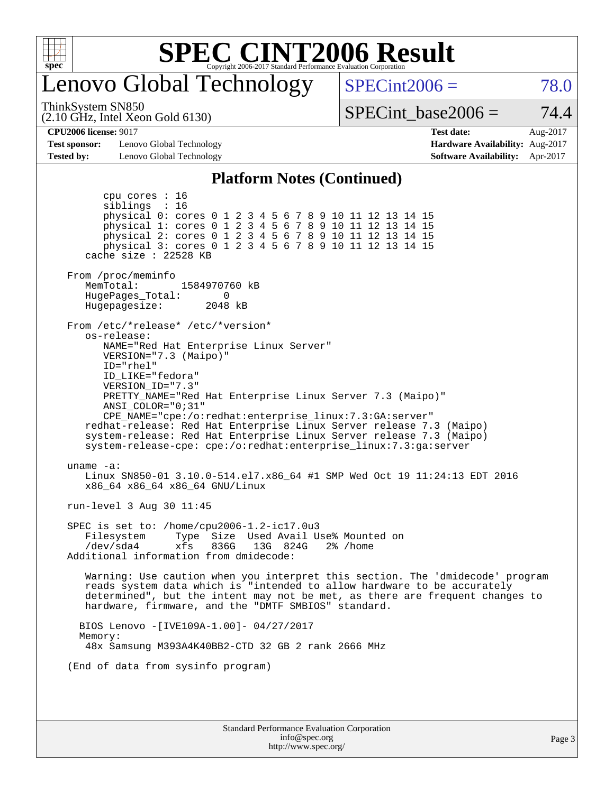

### enovo Global Technology

 $SPECint2006 = 78.0$  $SPECint2006 = 78.0$ 

ThinkSystem SN850

(2.10 GHz, Intel Xeon Gold 6130)

SPECint base2006 =  $74.4$ 

**[Test sponsor:](http://www.spec.org/auto/cpu2006/Docs/result-fields.html#Testsponsor)** Lenovo Global Technology **[Hardware Availability:](http://www.spec.org/auto/cpu2006/Docs/result-fields.html#HardwareAvailability)** Aug-2017 **[Tested by:](http://www.spec.org/auto/cpu2006/Docs/result-fields.html#Testedby)** Lenovo Global Technology **[Software Availability:](http://www.spec.org/auto/cpu2006/Docs/result-fields.html#SoftwareAvailability)** Apr-2017

**[CPU2006 license:](http://www.spec.org/auto/cpu2006/Docs/result-fields.html#CPU2006license)** 9017 **[Test date:](http://www.spec.org/auto/cpu2006/Docs/result-fields.html#Testdate)** Aug-2017

#### **[Platform Notes \(Continued\)](http://www.spec.org/auto/cpu2006/Docs/result-fields.html#PlatformNotes)**

Standard Performance Evaluation Corporation [info@spec.org](mailto:info@spec.org) <http://www.spec.org/> Page 3 cpu cores : 16 siblings : 16 physical 0: cores 0 1 2 3 4 5 6 7 8 9 10 11 12 13 14 15 physical 1: cores 0 1 2 3 4 5 6 7 8 9 10 11 12 13 14 15 physical 2: cores 0 1 2 3 4 5 6 7 8 9 10 11 12 13 14 15 physical 3: cores 0 1 2 3 4 5 6 7 8 9 10 11 12 13 14 15 cache size : 22528 KB From /proc/meminfo MemTotal: 1584970760 kB<br>HugePages Total: 0 HugePages\_Total: 0 Hugepagesize: 2048 kB From /etc/\*release\* /etc/\*version\* os-release: NAME="Red Hat Enterprise Linux Server" VERSION="7.3 (Maipo)" ID="rhel" ID\_LIKE="fedora" VERSION\_ID="7.3" PRETTY\_NAME="Red Hat Enterprise Linux Server 7.3 (Maipo)" ANSI\_COLOR="0;31" CPE\_NAME="cpe:/o:redhat:enterprise\_linux:7.3:GA:server" redhat-release: Red Hat Enterprise Linux Server release 7.3 (Maipo) system-release: Red Hat Enterprise Linux Server release 7.3 (Maipo) system-release-cpe: cpe:/o:redhat:enterprise\_linux:7.3:ga:server uname -a: Linux SN850-01 3.10.0-514.el7.x86\_64 #1 SMP Wed Oct 19 11:24:13 EDT 2016 x86\_64 x86\_64 x86\_64 GNU/Linux run-level 3 Aug 30 11:45 SPEC is set to: /home/cpu2006-1.2-ic17.0u3 Filesystem Type Size Used Avail Use% Mounted on /dev/sda4 xfs 836G 13G 824G 2% /home Additional information from dmidecode: Warning: Use caution when you interpret this section. The 'dmidecode' program reads system data which is "intended to allow hardware to be accurately determined", but the intent may not be met, as there are frequent changes to hardware, firmware, and the "DMTF SMBIOS" standard. BIOS Lenovo -[IVE109A-1.00]- 04/27/2017 Memory: 48x Samsung M393A4K40BB2-CTD 32 GB 2 rank 2666 MHz (End of data from sysinfo program)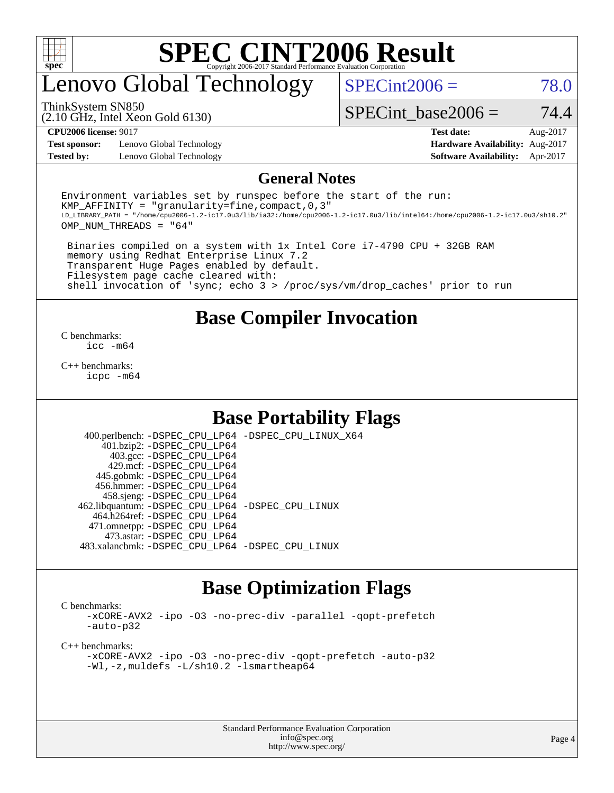

### enovo Global Technology

 $SPECint2006 = 78.0$  $SPECint2006 = 78.0$ 

(2.10 GHz, Intel Xeon Gold 6130) ThinkSystem SN850

SPECint base2006 =  $74.4$ 

**[Test sponsor:](http://www.spec.org/auto/cpu2006/Docs/result-fields.html#Testsponsor)** Lenovo Global Technology **[Hardware Availability:](http://www.spec.org/auto/cpu2006/Docs/result-fields.html#HardwareAvailability)** Aug-2017 **[Tested by:](http://www.spec.org/auto/cpu2006/Docs/result-fields.html#Testedby)** Lenovo Global Technology **[Software Availability:](http://www.spec.org/auto/cpu2006/Docs/result-fields.html#SoftwareAvailability)** Apr-2017

**[CPU2006 license:](http://www.spec.org/auto/cpu2006/Docs/result-fields.html#CPU2006license)** 9017 **[Test date:](http://www.spec.org/auto/cpu2006/Docs/result-fields.html#Testdate)** Aug-2017

#### **[General Notes](http://www.spec.org/auto/cpu2006/Docs/result-fields.html#GeneralNotes)**

Environment variables set by runspec before the start of the run: KMP AFFINITY = "granularity=fine, compact,  $0,3$ " LD\_LIBRARY\_PATH = "/home/cpu2006-1.2-ic17.0u3/lib/ia32:/home/cpu2006-1.2-ic17.0u3/lib/intel64:/home/cpu2006-1.2-ic17.0u3/sh10.2" OMP\_NUM\_THREADS = "64"

 Binaries compiled on a system with 1x Intel Core i7-4790 CPU + 32GB RAM memory using Redhat Enterprise Linux 7.2 Transparent Huge Pages enabled by default. Filesystem page cache cleared with: shell invocation of 'sync; echo 3 > /proc/sys/vm/drop\_caches' prior to run

#### **[Base Compiler Invocation](http://www.spec.org/auto/cpu2006/Docs/result-fields.html#BaseCompilerInvocation)**

[C benchmarks](http://www.spec.org/auto/cpu2006/Docs/result-fields.html#Cbenchmarks): [icc -m64](http://www.spec.org/cpu2006/results/res2017q4/cpu2006-20170918-49988.flags.html#user_CCbase_intel_icc_64bit_bda6cc9af1fdbb0edc3795bac97ada53)

[C++ benchmarks:](http://www.spec.org/auto/cpu2006/Docs/result-fields.html#CXXbenchmarks) [icpc -m64](http://www.spec.org/cpu2006/results/res2017q4/cpu2006-20170918-49988.flags.html#user_CXXbase_intel_icpc_64bit_fc66a5337ce925472a5c54ad6a0de310)

#### **[Base Portability Flags](http://www.spec.org/auto/cpu2006/Docs/result-fields.html#BasePortabilityFlags)**

 400.perlbench: [-DSPEC\\_CPU\\_LP64](http://www.spec.org/cpu2006/results/res2017q4/cpu2006-20170918-49988.flags.html#b400.perlbench_basePORTABILITY_DSPEC_CPU_LP64) [-DSPEC\\_CPU\\_LINUX\\_X64](http://www.spec.org/cpu2006/results/res2017q4/cpu2006-20170918-49988.flags.html#b400.perlbench_baseCPORTABILITY_DSPEC_CPU_LINUX_X64) 401.bzip2: [-DSPEC\\_CPU\\_LP64](http://www.spec.org/cpu2006/results/res2017q4/cpu2006-20170918-49988.flags.html#suite_basePORTABILITY401_bzip2_DSPEC_CPU_LP64) 403.gcc: [-DSPEC\\_CPU\\_LP64](http://www.spec.org/cpu2006/results/res2017q4/cpu2006-20170918-49988.flags.html#suite_basePORTABILITY403_gcc_DSPEC_CPU_LP64) 429.mcf: [-DSPEC\\_CPU\\_LP64](http://www.spec.org/cpu2006/results/res2017q4/cpu2006-20170918-49988.flags.html#suite_basePORTABILITY429_mcf_DSPEC_CPU_LP64) 445.gobmk: [-DSPEC\\_CPU\\_LP64](http://www.spec.org/cpu2006/results/res2017q4/cpu2006-20170918-49988.flags.html#suite_basePORTABILITY445_gobmk_DSPEC_CPU_LP64) 456.hmmer: [-DSPEC\\_CPU\\_LP64](http://www.spec.org/cpu2006/results/res2017q4/cpu2006-20170918-49988.flags.html#suite_basePORTABILITY456_hmmer_DSPEC_CPU_LP64) 458.sjeng: [-DSPEC\\_CPU\\_LP64](http://www.spec.org/cpu2006/results/res2017q4/cpu2006-20170918-49988.flags.html#suite_basePORTABILITY458_sjeng_DSPEC_CPU_LP64) 462.libquantum: [-DSPEC\\_CPU\\_LP64](http://www.spec.org/cpu2006/results/res2017q4/cpu2006-20170918-49988.flags.html#suite_basePORTABILITY462_libquantum_DSPEC_CPU_LP64) [-DSPEC\\_CPU\\_LINUX](http://www.spec.org/cpu2006/results/res2017q4/cpu2006-20170918-49988.flags.html#b462.libquantum_baseCPORTABILITY_DSPEC_CPU_LINUX) 464.h264ref: [-DSPEC\\_CPU\\_LP64](http://www.spec.org/cpu2006/results/res2017q4/cpu2006-20170918-49988.flags.html#suite_basePORTABILITY464_h264ref_DSPEC_CPU_LP64) 471.omnetpp: [-DSPEC\\_CPU\\_LP64](http://www.spec.org/cpu2006/results/res2017q4/cpu2006-20170918-49988.flags.html#suite_basePORTABILITY471_omnetpp_DSPEC_CPU_LP64) 473.astar: [-DSPEC\\_CPU\\_LP64](http://www.spec.org/cpu2006/results/res2017q4/cpu2006-20170918-49988.flags.html#suite_basePORTABILITY473_astar_DSPEC_CPU_LP64) 483.xalancbmk: [-DSPEC\\_CPU\\_LP64](http://www.spec.org/cpu2006/results/res2017q4/cpu2006-20170918-49988.flags.html#suite_basePORTABILITY483_xalancbmk_DSPEC_CPU_LP64) [-DSPEC\\_CPU\\_LINUX](http://www.spec.org/cpu2006/results/res2017q4/cpu2006-20170918-49988.flags.html#b483.xalancbmk_baseCXXPORTABILITY_DSPEC_CPU_LINUX)

### **[Base Optimization Flags](http://www.spec.org/auto/cpu2006/Docs/result-fields.html#BaseOptimizationFlags)**

[C benchmarks](http://www.spec.org/auto/cpu2006/Docs/result-fields.html#Cbenchmarks):

[-xCORE-AVX2](http://www.spec.org/cpu2006/results/res2017q4/cpu2006-20170918-49988.flags.html#user_CCbase_f-xCORE-AVX2) [-ipo](http://www.spec.org/cpu2006/results/res2017q4/cpu2006-20170918-49988.flags.html#user_CCbase_f-ipo) [-O3](http://www.spec.org/cpu2006/results/res2017q4/cpu2006-20170918-49988.flags.html#user_CCbase_f-O3) [-no-prec-div](http://www.spec.org/cpu2006/results/res2017q4/cpu2006-20170918-49988.flags.html#user_CCbase_f-no-prec-div) [-parallel](http://www.spec.org/cpu2006/results/res2017q4/cpu2006-20170918-49988.flags.html#user_CCbase_f-parallel) [-qopt-prefetch](http://www.spec.org/cpu2006/results/res2017q4/cpu2006-20170918-49988.flags.html#user_CCbase_f-qopt-prefetch) [-auto-p32](http://www.spec.org/cpu2006/results/res2017q4/cpu2006-20170918-49988.flags.html#user_CCbase_f-auto-p32)

[C++ benchmarks:](http://www.spec.org/auto/cpu2006/Docs/result-fields.html#CXXbenchmarks)

[-xCORE-AVX2](http://www.spec.org/cpu2006/results/res2017q4/cpu2006-20170918-49988.flags.html#user_CXXbase_f-xCORE-AVX2) [-ipo](http://www.spec.org/cpu2006/results/res2017q4/cpu2006-20170918-49988.flags.html#user_CXXbase_f-ipo) [-O3](http://www.spec.org/cpu2006/results/res2017q4/cpu2006-20170918-49988.flags.html#user_CXXbase_f-O3) [-no-prec-div](http://www.spec.org/cpu2006/results/res2017q4/cpu2006-20170918-49988.flags.html#user_CXXbase_f-no-prec-div) [-qopt-prefetch](http://www.spec.org/cpu2006/results/res2017q4/cpu2006-20170918-49988.flags.html#user_CXXbase_f-qopt-prefetch) [-auto-p32](http://www.spec.org/cpu2006/results/res2017q4/cpu2006-20170918-49988.flags.html#user_CXXbase_f-auto-p32) [-Wl,-z,muldefs](http://www.spec.org/cpu2006/results/res2017q4/cpu2006-20170918-49988.flags.html#user_CXXbase_link_force_multiple1_74079c344b956b9658436fd1b6dd3a8a) [-L/sh10.2 -lsmartheap64](http://www.spec.org/cpu2006/results/res2017q4/cpu2006-20170918-49988.flags.html#user_CXXbase_SmartHeap64_63911d860fc08c15fa1d5bf319b9d8d5)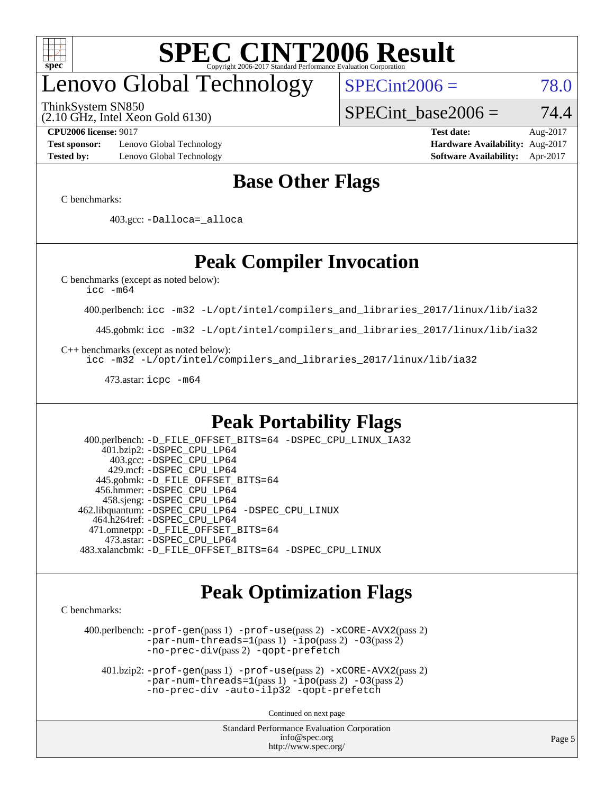

# enovo Global Technology

ThinkSystem SN850

(2.10 GHz, Intel Xeon Gold 6130)

 $SPECint2006 = 78.0$  $SPECint2006 = 78.0$ 

SPECint base2006 =  $74.4$ 

**[Test sponsor:](http://www.spec.org/auto/cpu2006/Docs/result-fields.html#Testsponsor)** Lenovo Global Technology **[Hardware Availability:](http://www.spec.org/auto/cpu2006/Docs/result-fields.html#HardwareAvailability)** Aug-2017

**[CPU2006 license:](http://www.spec.org/auto/cpu2006/Docs/result-fields.html#CPU2006license)** 9017 **[Test date:](http://www.spec.org/auto/cpu2006/Docs/result-fields.html#Testdate)** Aug-2017 **[Tested by:](http://www.spec.org/auto/cpu2006/Docs/result-fields.html#Testedby)** Lenovo Global Technology **[Software Availability:](http://www.spec.org/auto/cpu2006/Docs/result-fields.html#SoftwareAvailability)** Apr-2017

### **[Base Other Flags](http://www.spec.org/auto/cpu2006/Docs/result-fields.html#BaseOtherFlags)**

[C benchmarks](http://www.spec.org/auto/cpu2006/Docs/result-fields.html#Cbenchmarks):

403.gcc: [-Dalloca=\\_alloca](http://www.spec.org/cpu2006/results/res2017q4/cpu2006-20170918-49988.flags.html#b403.gcc_baseEXTRA_CFLAGS_Dalloca_be3056838c12de2578596ca5467af7f3)

### **[Peak Compiler Invocation](http://www.spec.org/auto/cpu2006/Docs/result-fields.html#PeakCompilerInvocation)**

[C benchmarks \(except as noted below\)](http://www.spec.org/auto/cpu2006/Docs/result-fields.html#Cbenchmarksexceptasnotedbelow):

[icc -m64](http://www.spec.org/cpu2006/results/res2017q4/cpu2006-20170918-49988.flags.html#user_CCpeak_intel_icc_64bit_bda6cc9af1fdbb0edc3795bac97ada53)

400.perlbench: [icc -m32 -L/opt/intel/compilers\\_and\\_libraries\\_2017/linux/lib/ia32](http://www.spec.org/cpu2006/results/res2017q4/cpu2006-20170918-49988.flags.html#user_peakCCLD400_perlbench_intel_icc_c29f3ff5a7ed067b11e4ec10a03f03ae)

445.gobmk: [icc -m32 -L/opt/intel/compilers\\_and\\_libraries\\_2017/linux/lib/ia32](http://www.spec.org/cpu2006/results/res2017q4/cpu2006-20170918-49988.flags.html#user_peakCCLD445_gobmk_intel_icc_c29f3ff5a7ed067b11e4ec10a03f03ae)

[C++ benchmarks \(except as noted below\):](http://www.spec.org/auto/cpu2006/Docs/result-fields.html#CXXbenchmarksexceptasnotedbelow)

[icc -m32 -L/opt/intel/compilers\\_and\\_libraries\\_2017/linux/lib/ia32](http://www.spec.org/cpu2006/results/res2017q4/cpu2006-20170918-49988.flags.html#user_CXXpeak_intel_icc_c29f3ff5a7ed067b11e4ec10a03f03ae)

473.astar: [icpc -m64](http://www.spec.org/cpu2006/results/res2017q4/cpu2006-20170918-49988.flags.html#user_peakCXXLD473_astar_intel_icpc_64bit_fc66a5337ce925472a5c54ad6a0de310)

### **[Peak Portability Flags](http://www.spec.org/auto/cpu2006/Docs/result-fields.html#PeakPortabilityFlags)**

 400.perlbench: [-D\\_FILE\\_OFFSET\\_BITS=64](http://www.spec.org/cpu2006/results/res2017q4/cpu2006-20170918-49988.flags.html#user_peakPORTABILITY400_perlbench_file_offset_bits_64_438cf9856305ebd76870a2c6dc2689ab) [-DSPEC\\_CPU\\_LINUX\\_IA32](http://www.spec.org/cpu2006/results/res2017q4/cpu2006-20170918-49988.flags.html#b400.perlbench_peakCPORTABILITY_DSPEC_CPU_LINUX_IA32) 401.bzip2: [-DSPEC\\_CPU\\_LP64](http://www.spec.org/cpu2006/results/res2017q4/cpu2006-20170918-49988.flags.html#suite_peakPORTABILITY401_bzip2_DSPEC_CPU_LP64) 403.gcc: [-DSPEC\\_CPU\\_LP64](http://www.spec.org/cpu2006/results/res2017q4/cpu2006-20170918-49988.flags.html#suite_peakPORTABILITY403_gcc_DSPEC_CPU_LP64) 429.mcf: [-DSPEC\\_CPU\\_LP64](http://www.spec.org/cpu2006/results/res2017q4/cpu2006-20170918-49988.flags.html#suite_peakPORTABILITY429_mcf_DSPEC_CPU_LP64) 445.gobmk: [-D\\_FILE\\_OFFSET\\_BITS=64](http://www.spec.org/cpu2006/results/res2017q4/cpu2006-20170918-49988.flags.html#user_peakPORTABILITY445_gobmk_file_offset_bits_64_438cf9856305ebd76870a2c6dc2689ab) 456.hmmer: [-DSPEC\\_CPU\\_LP64](http://www.spec.org/cpu2006/results/res2017q4/cpu2006-20170918-49988.flags.html#suite_peakPORTABILITY456_hmmer_DSPEC_CPU_LP64) 458.sjeng: [-DSPEC\\_CPU\\_LP64](http://www.spec.org/cpu2006/results/res2017q4/cpu2006-20170918-49988.flags.html#suite_peakPORTABILITY458_sjeng_DSPEC_CPU_LP64) 462.libquantum: [-DSPEC\\_CPU\\_LP64](http://www.spec.org/cpu2006/results/res2017q4/cpu2006-20170918-49988.flags.html#suite_peakPORTABILITY462_libquantum_DSPEC_CPU_LP64) [-DSPEC\\_CPU\\_LINUX](http://www.spec.org/cpu2006/results/res2017q4/cpu2006-20170918-49988.flags.html#b462.libquantum_peakCPORTABILITY_DSPEC_CPU_LINUX) 464.h264ref: [-DSPEC\\_CPU\\_LP64](http://www.spec.org/cpu2006/results/res2017q4/cpu2006-20170918-49988.flags.html#suite_peakPORTABILITY464_h264ref_DSPEC_CPU_LP64) 471.omnetpp: [-D\\_FILE\\_OFFSET\\_BITS=64](http://www.spec.org/cpu2006/results/res2017q4/cpu2006-20170918-49988.flags.html#user_peakPORTABILITY471_omnetpp_file_offset_bits_64_438cf9856305ebd76870a2c6dc2689ab) 473.astar: [-DSPEC\\_CPU\\_LP64](http://www.spec.org/cpu2006/results/res2017q4/cpu2006-20170918-49988.flags.html#suite_peakPORTABILITY473_astar_DSPEC_CPU_LP64) 483.xalancbmk: [-D\\_FILE\\_OFFSET\\_BITS=64](http://www.spec.org/cpu2006/results/res2017q4/cpu2006-20170918-49988.flags.html#user_peakPORTABILITY483_xalancbmk_file_offset_bits_64_438cf9856305ebd76870a2c6dc2689ab) [-DSPEC\\_CPU\\_LINUX](http://www.spec.org/cpu2006/results/res2017q4/cpu2006-20170918-49988.flags.html#b483.xalancbmk_peakCXXPORTABILITY_DSPEC_CPU_LINUX)

### **[Peak Optimization Flags](http://www.spec.org/auto/cpu2006/Docs/result-fields.html#PeakOptimizationFlags)**

[C benchmarks](http://www.spec.org/auto/cpu2006/Docs/result-fields.html#Cbenchmarks):

 400.perlbench: [-prof-gen](http://www.spec.org/cpu2006/results/res2017q4/cpu2006-20170918-49988.flags.html#user_peakPASS1_CFLAGSPASS1_LDCFLAGS400_perlbench_prof_gen_e43856698f6ca7b7e442dfd80e94a8fc)(pass 1) [-prof-use](http://www.spec.org/cpu2006/results/res2017q4/cpu2006-20170918-49988.flags.html#user_peakPASS2_CFLAGSPASS2_LDCFLAGS400_perlbench_prof_use_bccf7792157ff70d64e32fe3e1250b55)(pass 2) [-xCORE-AVX2](http://www.spec.org/cpu2006/results/res2017q4/cpu2006-20170918-49988.flags.html#user_peakPASS2_CFLAGSPASS2_LDCFLAGS400_perlbench_f-xCORE-AVX2)(pass 2) [-par-num-threads=1](http://www.spec.org/cpu2006/results/res2017q4/cpu2006-20170918-49988.flags.html#user_peakPASS1_CFLAGSPASS1_LDCFLAGS400_perlbench_par_num_threads_786a6ff141b4e9e90432e998842df6c2)(pass 1) [-ipo](http://www.spec.org/cpu2006/results/res2017q4/cpu2006-20170918-49988.flags.html#user_peakPASS2_CFLAGSPASS2_LDCFLAGS400_perlbench_f-ipo)(pass 2) [-O3](http://www.spec.org/cpu2006/results/res2017q4/cpu2006-20170918-49988.flags.html#user_peakPASS2_CFLAGSPASS2_LDCFLAGS400_perlbench_f-O3)(pass 2) [-no-prec-div](http://www.spec.org/cpu2006/results/res2017q4/cpu2006-20170918-49988.flags.html#user_peakPASS2_CFLAGSPASS2_LDCFLAGS400_perlbench_f-no-prec-div)(pass 2) [-qopt-prefetch](http://www.spec.org/cpu2006/results/res2017q4/cpu2006-20170918-49988.flags.html#user_peakCOPTIMIZE400_perlbench_f-qopt-prefetch)

 401.bzip2: [-prof-gen](http://www.spec.org/cpu2006/results/res2017q4/cpu2006-20170918-49988.flags.html#user_peakPASS1_CFLAGSPASS1_LDCFLAGS401_bzip2_prof_gen_e43856698f6ca7b7e442dfd80e94a8fc)(pass 1) [-prof-use](http://www.spec.org/cpu2006/results/res2017q4/cpu2006-20170918-49988.flags.html#user_peakPASS2_CFLAGSPASS2_LDCFLAGS401_bzip2_prof_use_bccf7792157ff70d64e32fe3e1250b55)(pass 2) [-xCORE-AVX2](http://www.spec.org/cpu2006/results/res2017q4/cpu2006-20170918-49988.flags.html#user_peakPASS2_CFLAGSPASS2_LDCFLAGS401_bzip2_f-xCORE-AVX2)(pass 2)  $-par-num-threads=1(pass 1) -ipo(pass 2) -O3(pass 2)$  $-par-num-threads=1(pass 1) -ipo(pass 2) -O3(pass 2)$  $-par-num-threads=1(pass 1) -ipo(pass 2) -O3(pass 2)$  $-par-num-threads=1(pass 1) -ipo(pass 2) -O3(pass 2)$  $-par-num-threads=1(pass 1) -ipo(pass 2) -O3(pass 2)$  $-par-num-threads=1(pass 1) -ipo(pass 2) -O3(pass 2)$ [-no-prec-div](http://www.spec.org/cpu2006/results/res2017q4/cpu2006-20170918-49988.flags.html#user_peakCOPTIMIZEPASS2_CFLAGSPASS2_LDCFLAGS401_bzip2_f-no-prec-div) [-auto-ilp32](http://www.spec.org/cpu2006/results/res2017q4/cpu2006-20170918-49988.flags.html#user_peakCOPTIMIZE401_bzip2_f-auto-ilp32) [-qopt-prefetch](http://www.spec.org/cpu2006/results/res2017q4/cpu2006-20170918-49988.flags.html#user_peakCOPTIMIZE401_bzip2_f-qopt-prefetch)

Continued on next page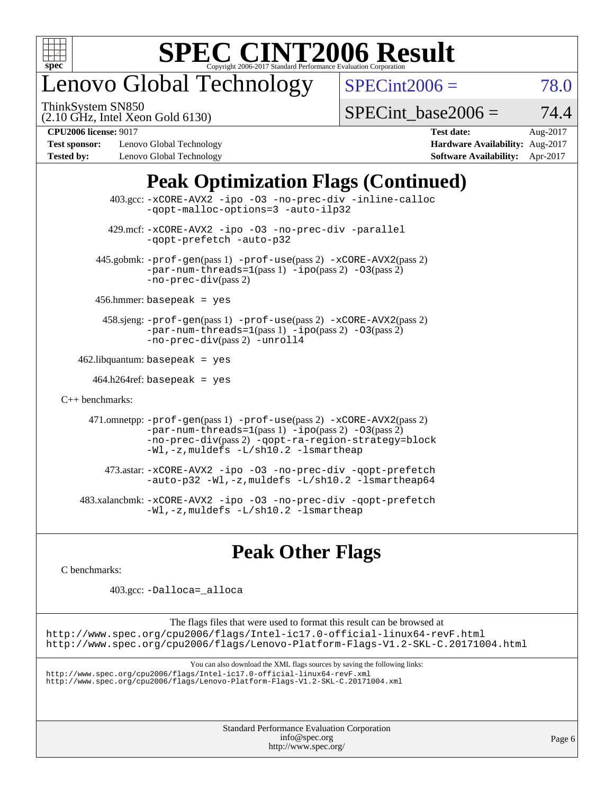

## enovo Global Technology

ThinkSystem SN850

 $SPECint2006 = 78.0$  $SPECint2006 = 78.0$ 

(2.10 GHz, Intel Xeon Gold 6130)

SPECint base2006 =  $74.4$ 

**[Test sponsor:](http://www.spec.org/auto/cpu2006/Docs/result-fields.html#Testsponsor)** Lenovo Global Technology **[Hardware Availability:](http://www.spec.org/auto/cpu2006/Docs/result-fields.html#HardwareAvailability)** Aug-2017 **[Tested by:](http://www.spec.org/auto/cpu2006/Docs/result-fields.html#Testedby)** Lenovo Global Technology **[Software Availability:](http://www.spec.org/auto/cpu2006/Docs/result-fields.html#SoftwareAvailability)** Apr-2017

**[CPU2006 license:](http://www.spec.org/auto/cpu2006/Docs/result-fields.html#CPU2006license)** 9017 **[Test date:](http://www.spec.org/auto/cpu2006/Docs/result-fields.html#Testdate)** Aug-2017

### **[Peak Optimization Flags \(Continued\)](http://www.spec.org/auto/cpu2006/Docs/result-fields.html#PeakOptimizationFlags)**

| $403.\text{sec}: -x \text{CORE-AVX2}$ -ipo -03 -no-prec-div -inline-calloc<br>-gopt-malloc-options=3 -auto-ilp32                                                                                                              |  |
|-------------------------------------------------------------------------------------------------------------------------------------------------------------------------------------------------------------------------------|--|
| 429.mcf: -xCORE-AVX2 -ipo -03 -no-prec-div -parallel<br>-gopt-prefetch -auto-p32                                                                                                                                              |  |
| 445.gobmk: -prof-gen(pass 1) -prof-use(pass 2) -xCORE-AVX2(pass 2)<br>$-par-num-threads=1(pass 1) -ipo(pass 2) -03(pass 2)$<br>$-no-prec-div(pass 2)$                                                                         |  |
| $456.$ hmmer: basepeak = yes                                                                                                                                                                                                  |  |
| 458.sjeng: -prof-gen(pass 1) -prof-use(pass 2) -xCORE-AVX2(pass 2)<br>$-par-num-threads=1(pass 1) -ipo(pass 2) -03(pass 2)$<br>-no-prec-div(pass 2) -unroll4                                                                  |  |
| $462$ .libquantum: basepeak = yes                                                                                                                                                                                             |  |
| $464.h264$ ref: basepeak = yes                                                                                                                                                                                                |  |
| $C_{++}$ benchmarks:                                                                                                                                                                                                          |  |
| 471.omnetpp: -prof-gen(pass 1) -prof-use(pass 2) -xCORE-AVX2(pass 2)<br>$-par-num-threads=1(pass 1) -ipo(pass 2) -03(pass 2)$<br>-no-prec-div(pass 2) -qopt-ra-region-strategy=block<br>-Wl,-z, muldefs -L/sh10.2 -lsmartheap |  |
| 473.astar: -xCORE-AVX2 -ipo -03 -no-prec-div -qopt-prefetch<br>-auto-p32 -Wl,-z, muldefs -L/sh10.2 -lsmartheap64                                                                                                              |  |
| 483.xalancbmk:-xCORE-AVX2 -ipo -03 -no-prec-div -qopt-prefetch<br>-Wl,-z, muldefs -L/sh10.2 -lsmartheap                                                                                                                       |  |

### **[Peak Other Flags](http://www.spec.org/auto/cpu2006/Docs/result-fields.html#PeakOtherFlags)**

[C benchmarks](http://www.spec.org/auto/cpu2006/Docs/result-fields.html#Cbenchmarks):

403.gcc: [-Dalloca=\\_alloca](http://www.spec.org/cpu2006/results/res2017q4/cpu2006-20170918-49988.flags.html#b403.gcc_peakEXTRA_CFLAGS_Dalloca_be3056838c12de2578596ca5467af7f3)

The flags files that were used to format this result can be browsed at <http://www.spec.org/cpu2006/flags/Intel-ic17.0-official-linux64-revF.html> <http://www.spec.org/cpu2006/flags/Lenovo-Platform-Flags-V1.2-SKL-C.20171004.html>

You can also download the XML flags sources by saving the following links:

<http://www.spec.org/cpu2006/flags/Intel-ic17.0-official-linux64-revF.xml> <http://www.spec.org/cpu2006/flags/Lenovo-Platform-Flags-V1.2-SKL-C.20171004.xml>